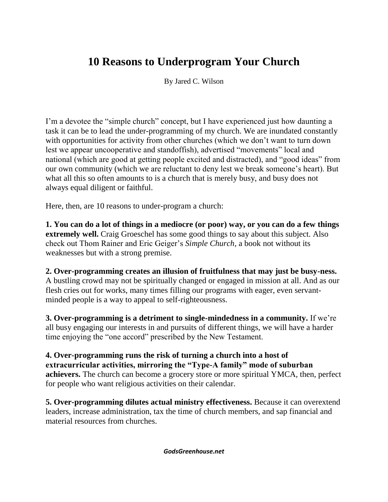## **10 Reasons to Underprogram Your Church**

By Jared C. Wilson

I'm a devotee the "simple church" concept, but I have experienced just how daunting a task it can be to lead the under-programming of my church. We are inundated constantly with opportunities for activity from other churches (which we don't want to turn down lest we appear uncooperative and standoffish), advertised "movements" local and national (which are good at getting people excited and distracted), and "good ideas" from our own community (which we are reluctant to deny lest we break someone's heart). But what all this so often amounts to is a church that is merely busy, and busy does not always equal diligent or faithful.

Here, then, are 10 reasons to under-program a church:

**1. You can do a lot of things in a mediocre (or poor) way, or you can do a few things extremely well.** Craig Groeschel has some good things to say about this subject. Also check out Thom Rainer and Eric Geiger's *Simple Church*, a book not without its weaknesses but with a strong premise.

**2. Over-programming creates an illusion of fruitfulness that may just be busy-ness.** A bustling crowd may not be spiritually changed or engaged in mission at all. And as our flesh cries out for works, many times filling our programs with eager, even servantminded people is a way to appeal to self-righteousness.

**3. Over-programming is a detriment to single-mindedness in a community.** If we're all busy engaging our interests in and pursuits of different things, we will have a harder time enjoying the "one accord" prescribed by the New Testament.

**4. Over-programming runs the risk of turning a church into a host of extracurricular activities, mirroring the "Type-A family" mode of suburban achievers.** The church can become a grocery store or more spiritual YMCA, then, perfect for people who want religious activities on their calendar.

**5. Over-programming dilutes actual ministry effectiveness.** Because it can overextend leaders, increase administration, tax the time of church members, and sap financial and material resources from churches.

*GodsGreenhouse.net*